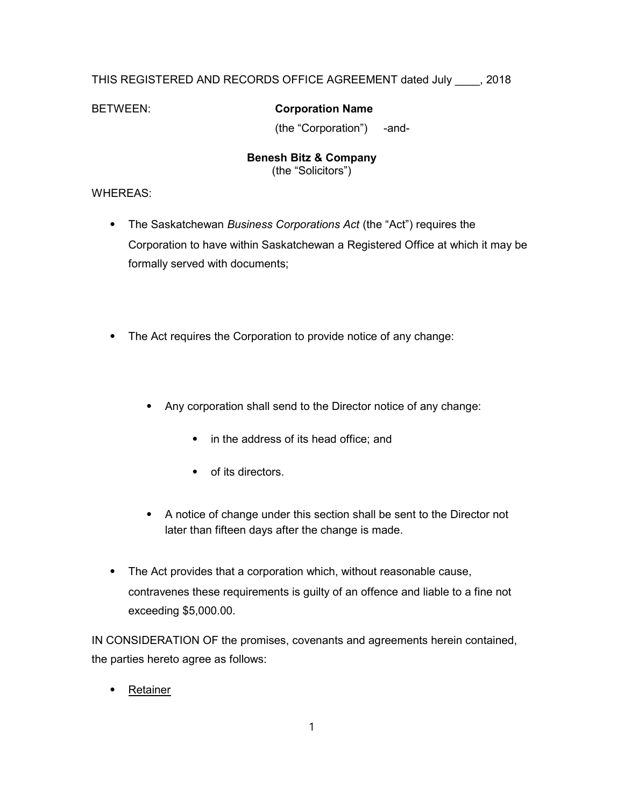# THIS REGISTERED AND RECORDS OFFICE AGREEMENT dated July \_\_\_\_, 2018

## BETWEEN: Corporation Name

(the "Corporation") -and-

#### Benesh Bitz & Company (the "Solicitors")

## WHEREAS:

- The Saskatchewan Business Corporations Act (the "Act") requires the Corporation to have within Saskatchewan a Registered Office at which it may be formally served with documents;
- ⦁ The Act requires the Corporation to provide notice of any change:
	- ⦁ Any corporation shall send to the Director notice of any change:
		- ⦁ in the address of its head office; and
		- ⦁ of its directors.
	- ⦁ A notice of change under this section shall be sent to the Director not later than fifteen days after the change is made.
- ⦁ The Act provides that a corporation which, without reasonable cause, contravenes these requirements is guilty of an offence and liable to a fine not exceeding \$5,000.00.

IN CONSIDERATION OF the promises, covenants and agreements herein contained, the parties hereto agree as follows:

**Retainer**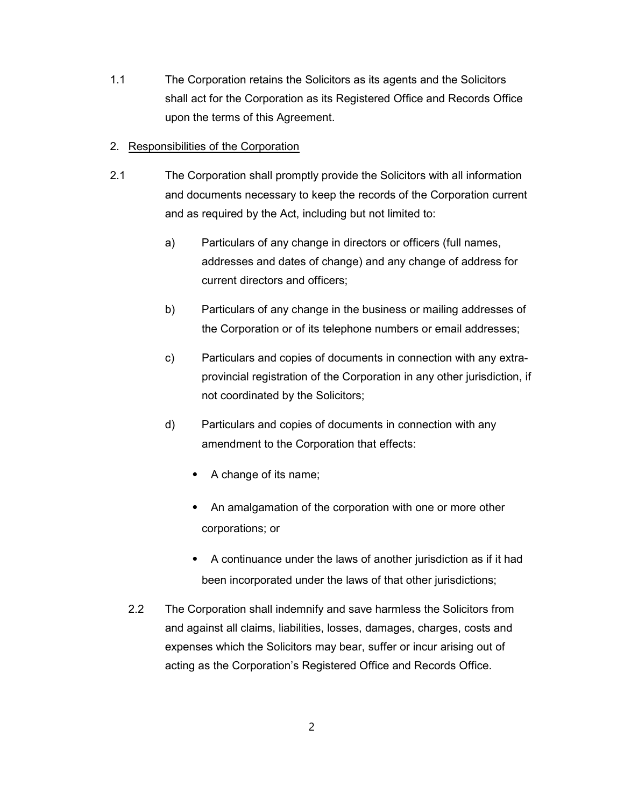1.1 The Corporation retains the Solicitors as its agents and the Solicitors shall act for the Corporation as its Registered Office and Records Office upon the terms of this Agreement.

#### 2. Responsibilities of the Corporation

- 2.1 The Corporation shall promptly provide the Solicitors with all information and documents necessary to keep the records of the Corporation current and as required by the Act, including but not limited to:
	- a) Particulars of any change in directors or officers (full names, addresses and dates of change) and any change of address for current directors and officers;
	- b) Particulars of any change in the business or mailing addresses of the Corporation or of its telephone numbers or email addresses;
	- c) Particulars and copies of documents in connection with any extraprovincial registration of the Corporation in any other jurisdiction, if not coordinated by the Solicitors;
	- d) Particulars and copies of documents in connection with any amendment to the Corporation that effects:
		- ⦁ A change of its name;
		- ⦁ An amalgamation of the corporation with one or more other corporations; or
		- ⦁ A continuance under the laws of another jurisdiction as if it had been incorporated under the laws of that other jurisdictions;
	- 2.2 The Corporation shall indemnify and save harmless the Solicitors from and against all claims, liabilities, losses, damages, charges, costs and expenses which the Solicitors may bear, suffer or incur arising out of acting as the Corporation's Registered Office and Records Office.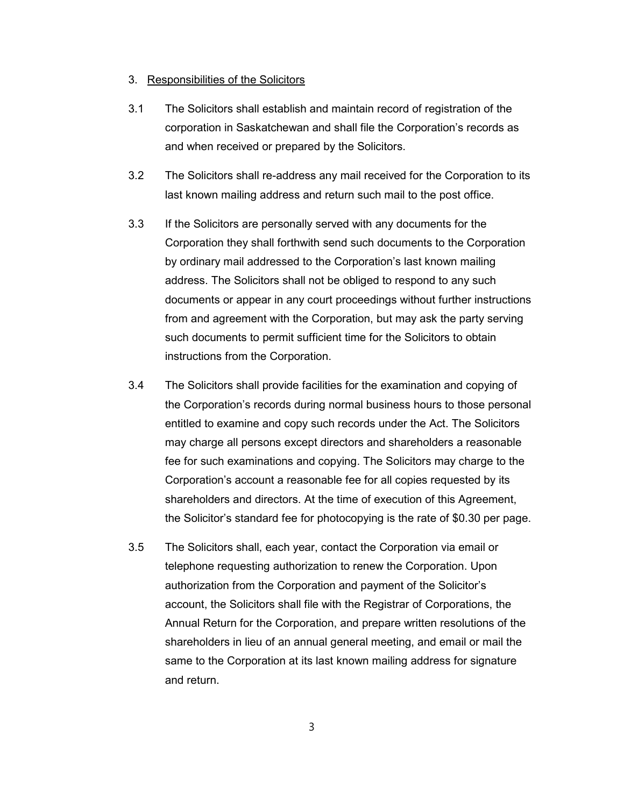#### 3. Responsibilities of the Solicitors

- 3.1 The Solicitors shall establish and maintain record of registration of the corporation in Saskatchewan and shall file the Corporation's records as and when received or prepared by the Solicitors.
- 3.2 The Solicitors shall re-address any mail received for the Corporation to its last known mailing address and return such mail to the post office.
- 3.3 If the Solicitors are personally served with any documents for the Corporation they shall forthwith send such documents to the Corporation by ordinary mail addressed to the Corporation's last known mailing address. The Solicitors shall not be obliged to respond to any such documents or appear in any court proceedings without further instructions from and agreement with the Corporation, but may ask the party serving such documents to permit sufficient time for the Solicitors to obtain instructions from the Corporation.
- 3.4 The Solicitors shall provide facilities for the examination and copying of the Corporation's records during normal business hours to those personal entitled to examine and copy such records under the Act. The Solicitors may charge all persons except directors and shareholders a reasonable fee for such examinations and copying. The Solicitors may charge to the Corporation's account a reasonable fee for all copies requested by its shareholders and directors. At the time of execution of this Agreement, the Solicitor's standard fee for photocopying is the rate of \$0.30 per page.
- 3.5 The Solicitors shall, each year, contact the Corporation via email or telephone requesting authorization to renew the Corporation. Upon authorization from the Corporation and payment of the Solicitor's account, the Solicitors shall file with the Registrar of Corporations, the Annual Return for the Corporation, and prepare written resolutions of the shareholders in lieu of an annual general meeting, and email or mail the same to the Corporation at its last known mailing address for signature and return.

3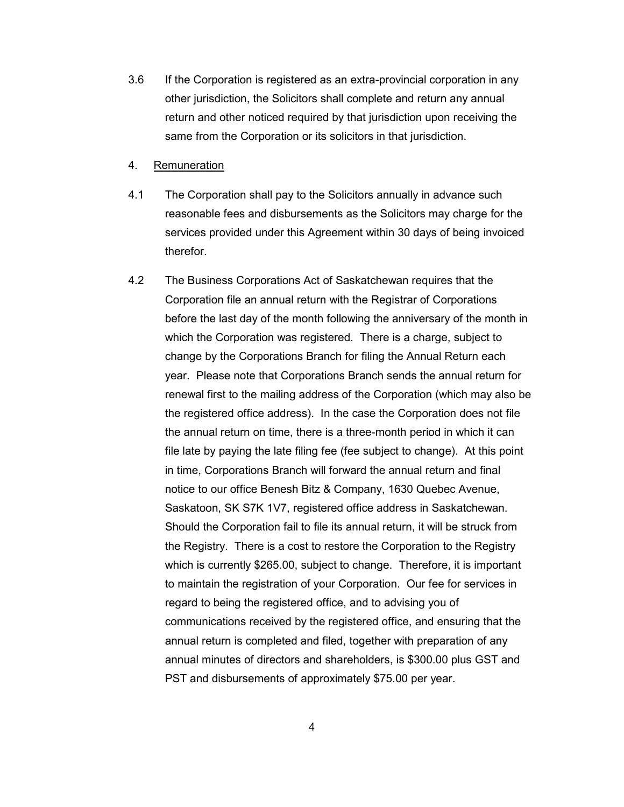- 3.6 If the Corporation is registered as an extra-provincial corporation in any other jurisdiction, the Solicitors shall complete and return any annual return and other noticed required by that jurisdiction upon receiving the same from the Corporation or its solicitors in that jurisdiction.
- 4. Remuneration
- 4.1 The Corporation shall pay to the Solicitors annually in advance such reasonable fees and disbursements as the Solicitors may charge for the services provided under this Agreement within 30 days of being invoiced therefor.
- 4.2 The Business Corporations Act of Saskatchewan requires that the Corporation file an annual return with the Registrar of Corporations before the last day of the month following the anniversary of the month in which the Corporation was registered. There is a charge, subject to change by the Corporations Branch for filing the Annual Return each year. Please note that Corporations Branch sends the annual return for renewal first to the mailing address of the Corporation (which may also be the registered office address). In the case the Corporation does not file the annual return on time, there is a three-month period in which it can file late by paying the late filing fee (fee subject to change). At this point in time, Corporations Branch will forward the annual return and final notice to our office Benesh Bitz & Company, 1630 Quebec Avenue, Saskatoon, SK S7K 1V7, registered office address in Saskatchewan. Should the Corporation fail to file its annual return, it will be struck from the Registry. There is a cost to restore the Corporation to the Registry which is currently \$265.00, subject to change. Therefore, it is important to maintain the registration of your Corporation. Our fee for services in regard to being the registered office, and to advising you of communications received by the registered office, and ensuring that the annual return is completed and filed, together with preparation of any annual minutes of directors and shareholders, is \$300.00 plus GST and PST and disbursements of approximately \$75.00 per year.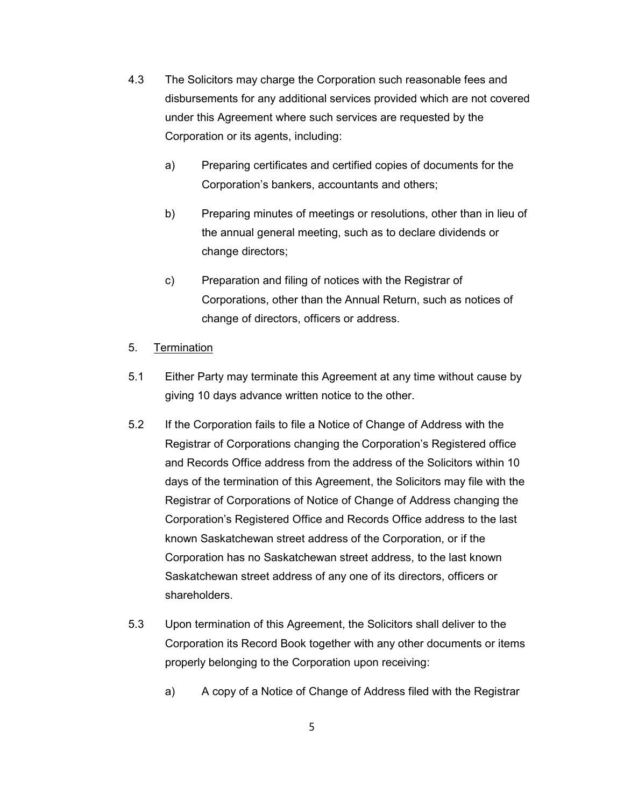- 4.3 The Solicitors may charge the Corporation such reasonable fees and disbursements for any additional services provided which are not covered under this Agreement where such services are requested by the Corporation or its agents, including:
	- a) Preparing certificates and certified copies of documents for the Corporation's bankers, accountants and others;
	- b) Preparing minutes of meetings or resolutions, other than in lieu of the annual general meeting, such as to declare dividends or change directors;
	- c) Preparation and filing of notices with the Registrar of Corporations, other than the Annual Return, such as notices of change of directors, officers or address.

## 5. Termination

- 5.1 Either Party may terminate this Agreement at any time without cause by giving 10 days advance written notice to the other.
- 5.2 If the Corporation fails to file a Notice of Change of Address with the Registrar of Corporations changing the Corporation's Registered office and Records Office address from the address of the Solicitors within 10 days of the termination of this Agreement, the Solicitors may file with the Registrar of Corporations of Notice of Change of Address changing the Corporation's Registered Office and Records Office address to the last known Saskatchewan street address of the Corporation, or if the Corporation has no Saskatchewan street address, to the last known Saskatchewan street address of any one of its directors, officers or shareholders.
- 5.3 Upon termination of this Agreement, the Solicitors shall deliver to the Corporation its Record Book together with any other documents or items properly belonging to the Corporation upon receiving:
	- a) A copy of a Notice of Change of Address filed with the Registrar